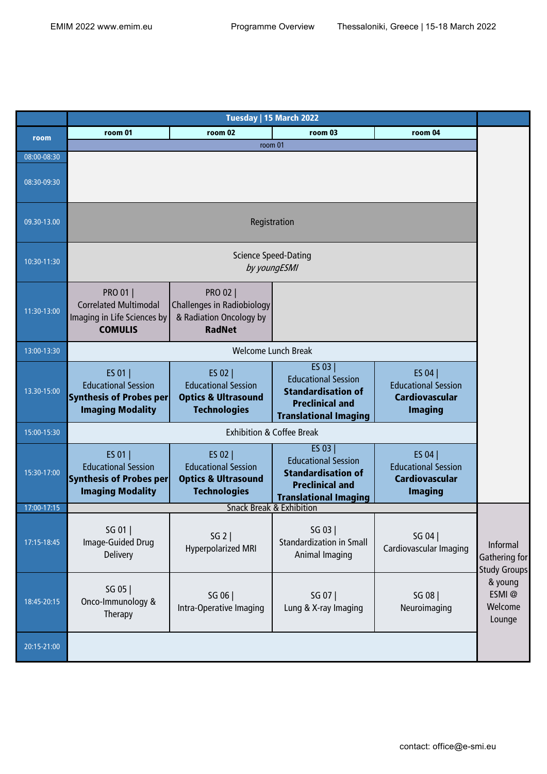|             | Tuesday   15 March 2022                                                                            |                                                                                                  |                                                                                                                              |                                                                                  |                                                  |
|-------------|----------------------------------------------------------------------------------------------------|--------------------------------------------------------------------------------------------------|------------------------------------------------------------------------------------------------------------------------------|----------------------------------------------------------------------------------|--------------------------------------------------|
| room        | room 01                                                                                            | room 02                                                                                          | room 03                                                                                                                      | room 04                                                                          |                                                  |
|             |                                                                                                    | room 01                                                                                          |                                                                                                                              |                                                                                  |                                                  |
| 08:00-08:30 |                                                                                                    |                                                                                                  |                                                                                                                              |                                                                                  |                                                  |
| 08:30-09:30 |                                                                                                    |                                                                                                  |                                                                                                                              |                                                                                  |                                                  |
| 09.30-13.00 | Registration                                                                                       |                                                                                                  |                                                                                                                              |                                                                                  |                                                  |
| 10:30-11:30 | <b>Science Speed-Dating</b><br>by youngESMI                                                        |                                                                                                  |                                                                                                                              |                                                                                  |                                                  |
| 11:30-13:00 | <b>PRO 01  </b><br><b>Correlated Multimodal</b><br>Imaging in Life Sciences by<br><b>COMULIS</b>   | <b>PRO 02  </b><br><b>Challenges in Radiobiology</b><br>& Radiation Oncology by<br><b>RadNet</b> |                                                                                                                              |                                                                                  |                                                  |
| 13:00-13:30 | <b>Welcome Lunch Break</b>                                                                         |                                                                                                  |                                                                                                                              |                                                                                  |                                                  |
| 13.30-15:00 | ES 01  <br><b>Educational Session</b><br><b>Synthesis of Probes per</b><br><b>Imaging Modality</b> | ES 02  <br><b>Educational Session</b><br><b>Optics &amp; Ultrasound</b><br><b>Technologies</b>   | ES 03  <br><b>Educational Session</b><br><b>Standardisation of</b><br><b>Preclinical and</b><br><b>Translational Imaging</b> | ES 04  <br><b>Educational Session</b><br><b>Cardiovascular</b><br><b>Imaging</b> |                                                  |
| 15:00-15:30 | <b>Exhibition &amp; Coffee Break</b>                                                               |                                                                                                  |                                                                                                                              |                                                                                  |                                                  |
| 15:30-17:00 | ES 01  <br><b>Educational Session</b><br><b>Synthesis of Probes per</b><br><b>Imaging Modality</b> | ES 02  <br><b>Educational Session</b><br><b>Optics &amp; Ultrasound</b><br><b>Technologies</b>   | ES 03  <br><b>Educational Session</b><br><b>Standardisation of</b><br><b>Preclinical and</b><br><b>Translational Imaging</b> | ES 04  <br><b>Educational Session</b><br><b>Cardiovascular</b><br><b>Imaging</b> |                                                  |
| 17:00-17:15 |                                                                                                    | <b>Snack Break &amp; Exhibition</b>                                                              |                                                                                                                              |                                                                                  |                                                  |
| 17:15-18:45 | SG 01<br>Image-Guided Drug<br>Delivery                                                             | SG 2  <br><b>Hyperpolarized MRI</b>                                                              | SG 03  <br><b>Standardization in Small</b><br>Animal Imaging                                                                 | SG 04<br>Cardiovascular Imaging                                                  | Informal<br>Gathering for<br><b>Study Groups</b> |
| 18:45-20:15 | SG 05  <br>Onco-Immunology &<br>Therapy                                                            | SG 06  <br>Intra-Operative Imaging                                                               | SG 07  <br>Lung & X-ray Imaging                                                                                              | SG 08<br>Neuroimaging                                                            | & young<br>ESMI@<br>Welcome<br>Lounge            |
| 20:15-21:00 |                                                                                                    |                                                                                                  |                                                                                                                              |                                                                                  |                                                  |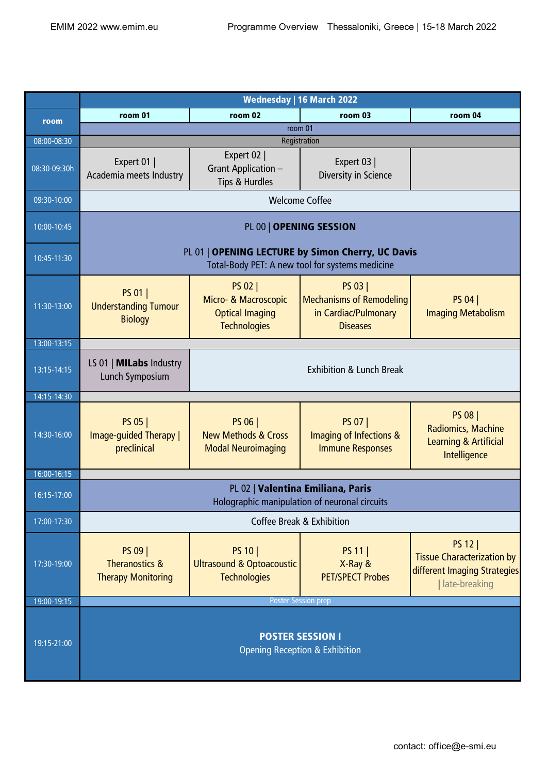|              | <b>Wednesday   16 March 2022</b>                                                                     |                                                                                         |                                                                                              |                                                                                                        |  |
|--------------|------------------------------------------------------------------------------------------------------|-----------------------------------------------------------------------------------------|----------------------------------------------------------------------------------------------|--------------------------------------------------------------------------------------------------------|--|
| room         | room 01                                                                                              | room 02                                                                                 | room 03                                                                                      | room 04                                                                                                |  |
|              |                                                                                                      |                                                                                         | room 01                                                                                      |                                                                                                        |  |
| 08:00-08:30  | Registration                                                                                         |                                                                                         |                                                                                              |                                                                                                        |  |
| 08:30-09:30h | Expert 01<br>Academia meets Industry                                                                 | Expert 02  <br>Grant Application -<br>Tips & Hurdles                                    | Expert 03  <br>Diversity in Science                                                          |                                                                                                        |  |
| 09:30-10:00  | <b>Welcome Coffee</b>                                                                                |                                                                                         |                                                                                              |                                                                                                        |  |
| 10:00-10:45  | PL 00   OPENING SESSION                                                                              |                                                                                         |                                                                                              |                                                                                                        |  |
| 10:45-11:30  | PL 01   OPENING LECTURE by Simon Cherry, UC Davis<br>Total-Body PET: A new tool for systems medicine |                                                                                         |                                                                                              |                                                                                                        |  |
| 11:30-13:00  | PS 01  <br><b>Understanding Tumour</b><br><b>Biology</b>                                             | <b>PS 02  </b><br>Micro- & Macroscopic<br><b>Optical Imaging</b><br><b>Technologies</b> | <b>PS 03  </b><br><b>Mechanisms of Remodeling</b><br>in Cardiac/Pulmonary<br><b>Diseases</b> | PS 04  <br><b>Imaging Metabolism</b>                                                                   |  |
| 13:00-13:15  |                                                                                                      |                                                                                         |                                                                                              |                                                                                                        |  |
| 13:15-14:15  | LS 01   <b>MILabs</b> Industry<br>Lunch Symposium                                                    | <b>Exhibition &amp; Lunch Break</b>                                                     |                                                                                              |                                                                                                        |  |
| 14:15-14:30  |                                                                                                      |                                                                                         |                                                                                              |                                                                                                        |  |
| 14:30-16:00  | PS 05  <br>Image-guided Therapy  <br>preclinical                                                     | PS 06  <br><b>New Methods &amp; Cross</b><br><b>Modal Neuroimaging</b>                  | <b>PS 07  </b><br>Imaging of Infections &<br><b>Immune Responses</b>                         | <b>PS 08  </b><br>Radiomics, Machine<br><b>Learning &amp; Artificial</b><br>Intelligence               |  |
| 16:00-16:15  |                                                                                                      |                                                                                         |                                                                                              |                                                                                                        |  |
| 16:15-17:00  | PL 02   Valentina Emiliana, Paris<br>Holographic manipulation of neuronal circuits                   |                                                                                         |                                                                                              |                                                                                                        |  |
| 17:00-17:30  | Coffee Break & Exhibition                                                                            |                                                                                         |                                                                                              |                                                                                                        |  |
| 17:30-19:00  | PS 09  <br><b>Theranostics &amp;</b><br><b>Therapy Monitoring</b>                                    | PS 10<br><b>Ultrasound &amp; Optoacoustic</b><br><b>Technologies</b>                    | PS 11  <br>X-Ray &<br><b>PET/SPECT Probes</b>                                                | <b>PS 12  </b><br><b>Tissue Characterization by</b><br>different Imaging Strategies<br>  late-breaking |  |
| 19:00-19:15  | <b>Poster Session prep</b>                                                                           |                                                                                         |                                                                                              |                                                                                                        |  |
| 19:15-21:00  | <b>POSTER SESSION I</b><br><b>Opening Reception &amp; Exhibition</b>                                 |                                                                                         |                                                                                              |                                                                                                        |  |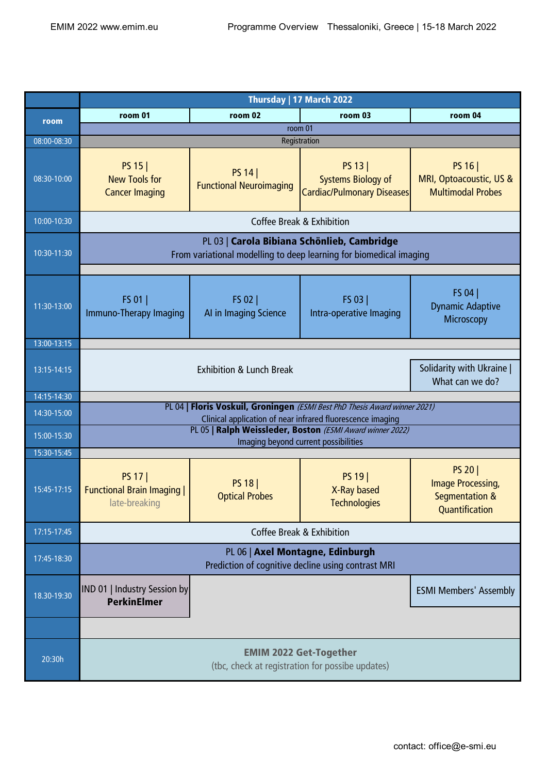|             | Thursday   17 March 2022                                                                                                                 |                                           |                                                                                                   |                                                                                           |  |
|-------------|------------------------------------------------------------------------------------------------------------------------------------------|-------------------------------------------|---------------------------------------------------------------------------------------------------|-------------------------------------------------------------------------------------------|--|
| room        | room 01                                                                                                                                  | room 02                                   | room 03                                                                                           | room 04                                                                                   |  |
|             | room 01                                                                                                                                  |                                           |                                                                                                   |                                                                                           |  |
| 08:00-08:30 |                                                                                                                                          |                                           | Registration                                                                                      |                                                                                           |  |
| 08:30-10:00 | PS 15<br><b>New Tools for</b><br><b>Cancer Imaging</b>                                                                                   | PS 14  <br><b>Functional Neuroimaging</b> | PS 13  <br><b>Systems Biology of</b><br><b>Cardiac/Pulmonary Diseases</b>                         | PS 16  <br>MRI, Optoacoustic, US &<br><b>Multimodal Probes</b>                            |  |
| 10:00-10:30 | Coffee Break & Exhibition                                                                                                                |                                           |                                                                                                   |                                                                                           |  |
| 10:30-11:30 | PL 03   Carola Bibiana Schönlieb, Cambridge<br>From variational modelling to deep learning for biomedical imaging                        |                                           |                                                                                                   |                                                                                           |  |
| 11:30-13:00 | FS 01  <br>Immuno-Therapy Imaging                                                                                                        | FS 02  <br>AI in Imaging Science          | FS 03<br>Intra-operative Imaging                                                                  | FS 04<br><b>Dynamic Adaptive</b><br>Microscopy                                            |  |
| 13:00-13:15 |                                                                                                                                          |                                           |                                                                                                   |                                                                                           |  |
| 13:15-14:15 | Solidarity with Ukraine  <br><b>Exhibition &amp; Lunch Break</b><br>What can we do?                                                      |                                           |                                                                                                   |                                                                                           |  |
| 14:15-14:30 |                                                                                                                                          |                                           |                                                                                                   |                                                                                           |  |
| 14:30-15:00 | PL 04   Floris Voskuil, Groningen (ESMI Best PhD Thesis Award winner 2021)<br>Clinical application of near infrared fluorescence imaging |                                           |                                                                                                   |                                                                                           |  |
| 15:00-15:30 |                                                                                                                                          |                                           | PL 05   Ralph Weissleder, Boston (ESMI Award winner 2022)<br>Imaging beyond current possibilities |                                                                                           |  |
| 15:30-15:45 |                                                                                                                                          |                                           |                                                                                                   |                                                                                           |  |
| 15:45-17:15 | PS 17  <br><b>Functional Brain Imaging  </b><br>late-breaking                                                                            | <b>PS 18</b><br><b>Optical Probes</b>     | PS 19  <br>X-Ray based<br><b>Technologies</b>                                                     | <b>PS 20</b>  <br><b>Image Processing,</b><br><b>Segmentation &amp;</b><br>Quantification |  |
| 17:15-17:45 | <b>Coffee Break &amp; Exhibition</b>                                                                                                     |                                           |                                                                                                   |                                                                                           |  |
| 17:45-18:30 | PL 06   Axel Montagne, Edinburgh<br>Prediction of cognitive decline using contrast MRI                                                   |                                           |                                                                                                   |                                                                                           |  |
| 18.30-19:30 | IND 01   Industry Session by<br><b>PerkinElmer</b>                                                                                       |                                           |                                                                                                   | <b>ESMI Members' Assembly</b>                                                             |  |
|             |                                                                                                                                          |                                           |                                                                                                   |                                                                                           |  |
| 20:30h      | <b>EMIM 2022 Get-Together</b><br>(tbc, check at registration for possibe updates)                                                        |                                           |                                                                                                   |                                                                                           |  |